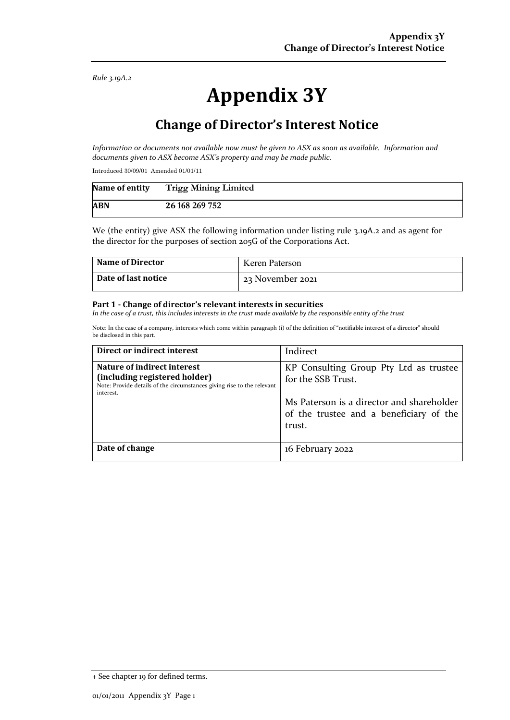*Rule 3.19A.2*

# **Appendix 3Y**

## **Change of Director's Interest Notice**

*Information or documents not available now must be given to ASX as soon as available. Information and documents given to ASX become ASX's property and may be made public.*

Introduced 30/09/01 Amended 01/01/11

| Name of entity | <b>Trigg Mining Limited</b> |
|----------------|-----------------------------|
| <b>ABN</b>     | 26 168 269 752              |

We (the entity) give ASX the following information under listing rule 3.19A.2 and as agent for the director for the purposes of section 205G of the Corporations Act.

| <b>Name of Director</b> | Keren Paterson   |
|-------------------------|------------------|
| Date of last notice     | 23 November 2021 |

#### **Part 1 - Change of director's relevant interests in securities**

*In the case of a trust, this includes interests in the trust made available by the responsible entity of the trust*

Note: In the case of a company, interests which come within paragraph (i) of the definition of "notifiable interest of a director" should be disclosed in this part.

| Direct or indirect interest                                                                                                                         | Indirect                                                                                                                                                       |
|-----------------------------------------------------------------------------------------------------------------------------------------------------|----------------------------------------------------------------------------------------------------------------------------------------------------------------|
| Nature of indirect interest<br>(including registered holder)<br>Note: Provide details of the circumstances giving rise to the relevant<br>interest. | KP Consulting Group Pty Ltd as trustee<br>for the SSB Trust.<br>Ms Paterson is a director and shareholder<br>of the trustee and a beneficiary of the<br>trust. |
| Date of change                                                                                                                                      | 16 February 2022                                                                                                                                               |

<sup>+</sup> See chapter 19 for defined terms.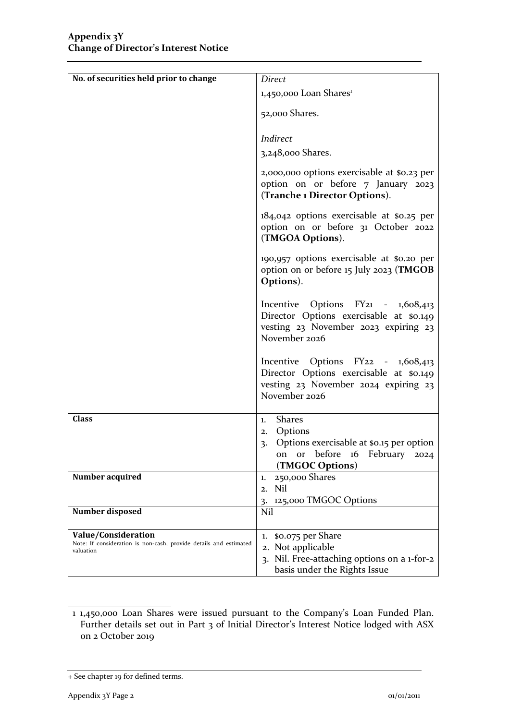| No. of securities held prior to change                                         | Direct                                                                                                                                             |
|--------------------------------------------------------------------------------|----------------------------------------------------------------------------------------------------------------------------------------------------|
|                                                                                | 1,450,000 Loan Shares <sup>1</sup>                                                                                                                 |
|                                                                                |                                                                                                                                                    |
|                                                                                | 52,000 Shares.                                                                                                                                     |
|                                                                                |                                                                                                                                                    |
|                                                                                | Indirect                                                                                                                                           |
|                                                                                | 3,248,000 Shares.                                                                                                                                  |
|                                                                                | 2,000,000 options exercisable at \$0.23 per<br>option on or before 7 January 2023<br>(Tranche 1 Director Options).                                 |
|                                                                                | 184,042 options exercisable at \$0.25 per<br>option on or before 31 October 2022<br>(TMGOA Options).                                               |
|                                                                                | 190,957 options exercisable at \$0.20 per<br>option on or before 15 July 2023 (TMGOB<br>Options).                                                  |
|                                                                                | Incentive Options FY <sub>21</sub> - 1,608,413<br>Director Options exercisable at \$0.149<br>vesting 23 November 2023 expiring 23<br>November 2026 |
|                                                                                | Incentive Options FY22 - 1,608,413<br>Director Options exercisable at \$0.149<br>vesting 23 November 2024 expiring 23<br>November 2026             |
| <b>Class</b>                                                                   | <b>Shares</b><br>1.                                                                                                                                |
|                                                                                | Options<br>2.                                                                                                                                      |
|                                                                                | 3. Options exercisable at \$0.15 per option<br>on or before 16 February 2024<br>(TMGOC Options)                                                    |
| Number acquired                                                                | 250,000 Shares<br>1.                                                                                                                               |
|                                                                                | 2. Nil                                                                                                                                             |
|                                                                                | 125,000 TMGOC Options<br>3.                                                                                                                        |
| Number disposed                                                                | Nil                                                                                                                                                |
| Value/Consideration                                                            | \$0.075 per Share<br>1.                                                                                                                            |
| Note: If consideration is non-cash, provide details and estimated<br>valuation | 2. Not applicable                                                                                                                                  |
|                                                                                | 3. Nil. Free-attaching options on a 1-for-2<br>basis under the Rights Issue                                                                        |

<sup>1 1,450,000</sup> Loan Shares were issued pursuant to the Company's Loan Funded Plan. Further details set out in Part 3 of Initial Director's Interest Notice lodged with ASX on 2 October 2019

<sup>+</sup> See chapter 19 for defined terms.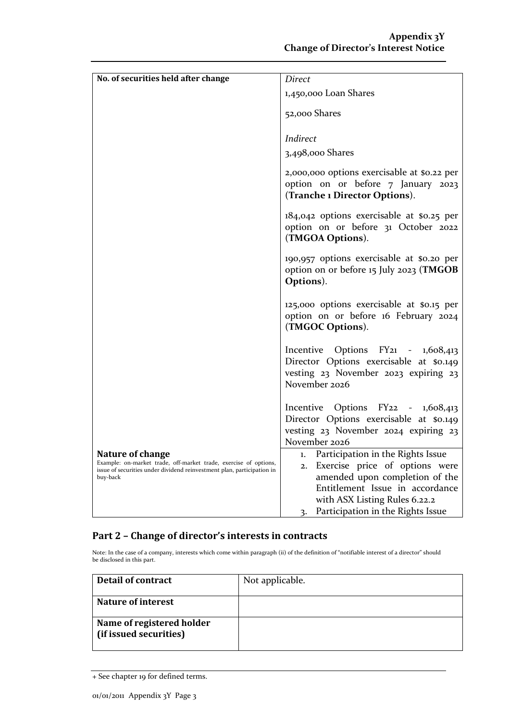| No. of securities held after change                                                                                                                                        | Direct                                                                                                                                                                                                                  |
|----------------------------------------------------------------------------------------------------------------------------------------------------------------------------|-------------------------------------------------------------------------------------------------------------------------------------------------------------------------------------------------------------------------|
|                                                                                                                                                                            | 1,450,000 Loan Shares                                                                                                                                                                                                   |
|                                                                                                                                                                            |                                                                                                                                                                                                                         |
|                                                                                                                                                                            | 52,000 Shares                                                                                                                                                                                                           |
|                                                                                                                                                                            |                                                                                                                                                                                                                         |
|                                                                                                                                                                            | Indirect                                                                                                                                                                                                                |
|                                                                                                                                                                            | 3,498,000 Shares                                                                                                                                                                                                        |
|                                                                                                                                                                            | 2,000,000 options exercisable at \$0.22 per<br>option on or before 7 January 2023<br>(Tranche 1 Director Options).                                                                                                      |
|                                                                                                                                                                            | 184,042 options exercisable at \$0.25 per<br>option on or before 31 October 2022<br>(TMGOA Options).                                                                                                                    |
|                                                                                                                                                                            | 190,957 options exercisable at \$0.20 per<br>option on or before 15 July 2023 (TMGOB<br>Options).                                                                                                                       |
|                                                                                                                                                                            | 125,000 options exercisable at \$0.15 per<br>option on or before 16 February 2024<br>(TMGOC Options).                                                                                                                   |
|                                                                                                                                                                            | Incentive Options FY21 - 1,608,413<br>Director Options exercisable at \$0.149<br>vesting 23 November 2023 expiring 23<br>November 2026                                                                                  |
|                                                                                                                                                                            | Incentive Options FY22 - 1,608,413<br>Director Options exercisable at \$0.149<br>vesting 23 November 2024 expiring 23<br>November 2026                                                                                  |
| Nature of change<br>Example: on-market trade, off-market trade, exercise of options,<br>issue of securities under dividend reinvestment plan, participation in<br>buy-back | 1. Participation in the Rights Issue<br>2. Exercise price of options were<br>amended upon completion of the<br>Entitlement Issue in accordance<br>with ASX Listing Rules 6.22.2<br>3. Participation in the Rights Issue |

#### **Part 2 – Change of director's interests in contracts**

Note: In the case of a company, interests which come within paragraph (ii) of the definition of "notifiable interest of a director" should be disclosed in this part.

| <b>Detail of contract</b>                           | Not applicable. |
|-----------------------------------------------------|-----------------|
| <b>Nature of interest</b>                           |                 |
| Name of registered holder<br>(if issued securities) |                 |

<sup>+</sup> See chapter 19 for defined terms.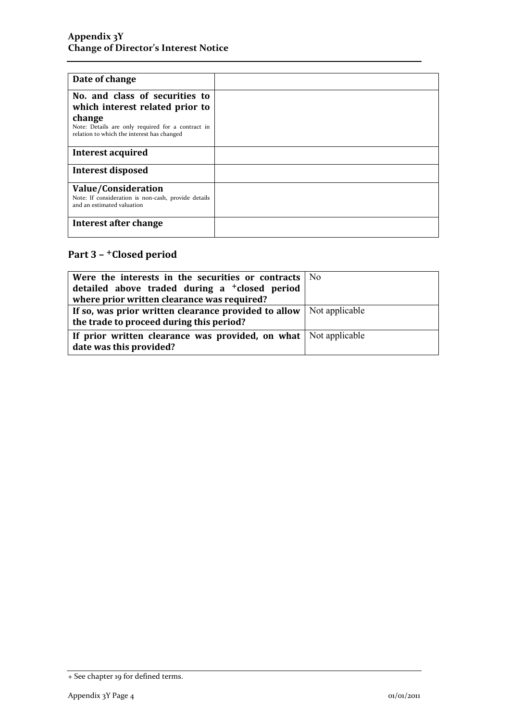| Date of change                                                                                                                                                                 |  |
|--------------------------------------------------------------------------------------------------------------------------------------------------------------------------------|--|
| No. and class of securities to<br>which interest related prior to<br>change<br>Note: Details are only required for a contract in<br>relation to which the interest has changed |  |
| Interest acquired                                                                                                                                                              |  |
|                                                                                                                                                                                |  |
| <b>Interest disposed</b>                                                                                                                                                       |  |
| Value/Consideration<br>Note: If consideration is non-cash, provide details<br>and an estimated valuation                                                                       |  |
| Interest after change                                                                                                                                                          |  |

## **Part 3 –** +**Closed period**

| Were the interests in the securities or contracts $\vert$ No                |  |
|-----------------------------------------------------------------------------|--|
| detailed above traded during a <sup>+</sup> closed period                   |  |
| where prior written clearance was required?                                 |  |
| If so, was prior written clearance provided to allow $\vert$ Not applicable |  |
| the trade to proceed during this period?                                    |  |
| If prior written clearance was provided, on what Not applicable             |  |
| date was this provided?                                                     |  |

<sup>+</sup> See chapter 19 for defined terms.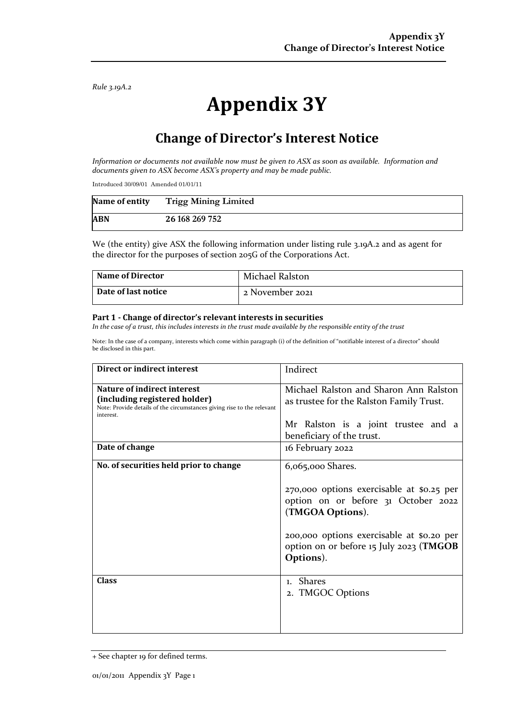*Rule 3.19A.2*

# **Appendix 3Y**

## **Change of Director's Interest Notice**

*Information or documents not available now must be given to ASX as soon as available. Information and documents given to ASX become ASX's property and may be made public.*

Introduced 30/09/01 Amended 01/01/11

| Name of entity | <b>Trigg Mining Limited</b> |
|----------------|-----------------------------|
| <b>ABN</b>     | 26 168 269 752              |

We (the entity) give ASX the following information under listing rule 3.19A.2 and as agent for the director for the purposes of section 205G of the Corporations Act.

| <b>Name of Director</b> | Michael Ralston |
|-------------------------|-----------------|
| Date of last notice     | 2 November 2021 |

#### **Part 1 - Change of director's relevant interests in securities**

*In the case of a trust, this includes interests in the trust made available by the responsible entity of the trust*

Note: In the case of a company, interests which come within paragraph (i) of the definition of "notifiable interest of a director" should be disclosed in this part.

| Direct or indirect interest                                                                                                                                | Indirect                                                                                                                                                                                                  |
|------------------------------------------------------------------------------------------------------------------------------------------------------------|-----------------------------------------------------------------------------------------------------------------------------------------------------------------------------------------------------------|
| <b>Nature of indirect interest</b><br>(including registered holder)<br>Note: Provide details of the circumstances giving rise to the relevant<br>interest. | Michael Ralston and Sharon Ann Ralston<br>as trustee for the Ralston Family Trust.                                                                                                                        |
|                                                                                                                                                            | Mr Ralston is a joint trustee and a                                                                                                                                                                       |
|                                                                                                                                                            | beneficiary of the trust.                                                                                                                                                                                 |
| Date of change                                                                                                                                             | 16 February 2022                                                                                                                                                                                          |
| No. of securities held prior to change                                                                                                                     | 6,065,000 Shares.                                                                                                                                                                                         |
|                                                                                                                                                            | 270,000 options exercisable at \$0.25 per<br>option on or before 31 October 2022<br>(TMGOA Options).<br>200,000 options exercisable at \$0.20 per<br>option on or before 15 July 2023 (TMGOB<br>Options). |
| <b>Class</b>                                                                                                                                               | 1. Shares<br>2. TMGOC Options                                                                                                                                                                             |

<sup>+</sup> See chapter 19 for defined terms.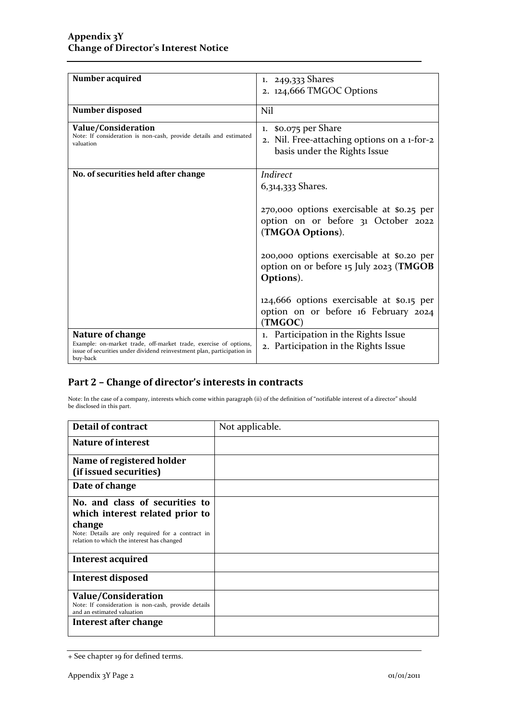| Number acquired                                                                                                                                                            | 1. 249,333 Shares                                                                                    |
|----------------------------------------------------------------------------------------------------------------------------------------------------------------------------|------------------------------------------------------------------------------------------------------|
|                                                                                                                                                                            | 2. 124,666 TMGOC Options                                                                             |
| Number disposed                                                                                                                                                            | Nil                                                                                                  |
| Value/Consideration<br>Note: If consideration is non-cash, provide details and estimated<br>valuation                                                                      | 1. \$0.075 per Share<br>2. Nil. Free-attaching options on a 1-for-2<br>basis under the Rights Issue  |
| No. of securities held after change                                                                                                                                        | Indirect<br>6,314,333 Shares.                                                                        |
|                                                                                                                                                                            | 270,000 options exercisable at \$0.25 per<br>option on or before 31 October 2022<br>(TMGOA Options). |
|                                                                                                                                                                            | 200,000 options exercisable at \$0.20 per<br>option on or before 15 July 2023 (TMGOB<br>Options).    |
|                                                                                                                                                                            | 124,666 options exercisable at \$0.15 per<br>option on or before 16 February 2024<br>(TMGOC)         |
| Nature of change<br>Example: on-market trade, off-market trade, exercise of options,<br>issue of securities under dividend reinvestment plan, participation in<br>buy-back | 1. Participation in the Rights Issue<br>2. Participation in the Rights Issue                         |

#### **Part 2 – Change of director's interests in contracts**

Note: In the case of a company, interests which come within paragraph (ii) of the definition of "notifiable interest of a director" should be disclosed in this part.

| <b>Detail of contract</b>                                                                       | Not applicable. |
|-------------------------------------------------------------------------------------------------|-----------------|
| Nature of interest                                                                              |                 |
| Name of registered holder                                                                       |                 |
| (if issued securities)                                                                          |                 |
| Date of change                                                                                  |                 |
| No. and class of securities to                                                                  |                 |
| which interest related prior to                                                                 |                 |
| change                                                                                          |                 |
| Note: Details are only required for a contract in<br>relation to which the interest has changed |                 |
| Interest acquired                                                                               |                 |
| <b>Interest disposed</b>                                                                        |                 |
| <b>Value/Consideration</b>                                                                      |                 |
| Note: If consideration is non-cash, provide details<br>and an estimated valuation               |                 |
| Interest after change                                                                           |                 |

<sup>+</sup> See chapter 19 for defined terms.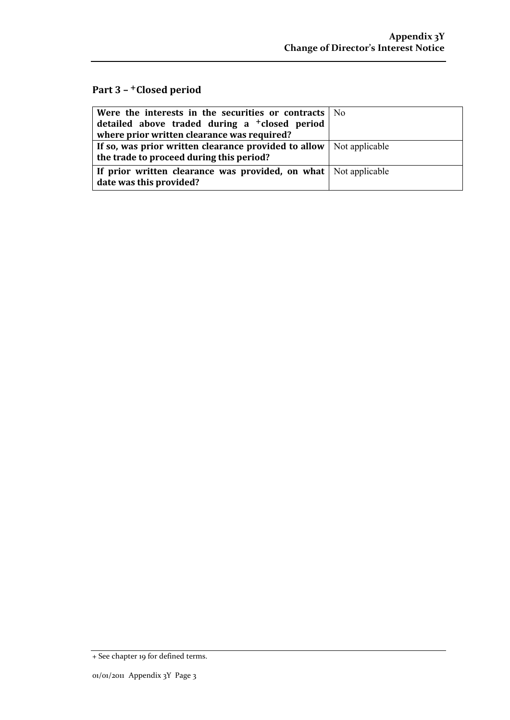### **Part 3 –** +**Closed period**

| Were the interests in the securities or contracts $\vert$ No                |  |
|-----------------------------------------------------------------------------|--|
| detailed above traded during a <sup>+</sup> closed period                   |  |
| where prior written clearance was required?                                 |  |
| If so, was prior written clearance provided to allow $\vert$ Not applicable |  |
| the trade to proceed during this period?                                    |  |
| If prior written clearance was provided, on what Not applicable             |  |
| date was this provided?                                                     |  |

<sup>+</sup> See chapter 19 for defined terms.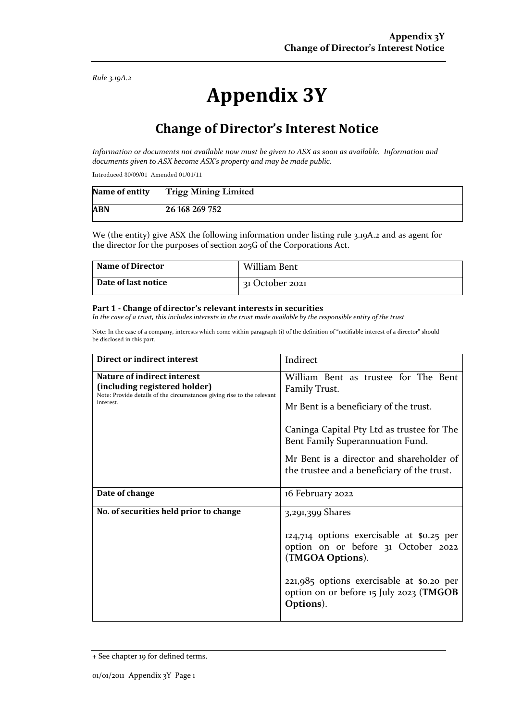*Rule 3.19A.2*

# **Appendix 3Y**

## **Change of Director's Interest Notice**

*Information or documents not available now must be given to ASX as soon as available. Information and documents given to ASX become ASX's property and may be made public.*

Introduced 30/09/01 Amended 01/01/11

| Name of entity | <b>Trigg Mining Limited</b> |
|----------------|-----------------------------|
| <b>ABN</b>     | 26 168 269 752              |

We (the entity) give ASX the following information under listing rule 3.19A.2 and as agent for the director for the purposes of section 205G of the Corporations Act.

| <b>Name of Director</b> | William Bent    |
|-------------------------|-----------------|
| Date of last notice     | 31 October 2021 |

#### **Part 1 - Change of director's relevant interests in securities**

*In the case of a trust, this includes interests in the trust made available by the responsible entity of the trust*

Note: In the case of a company, interests which come within paragraph (i) of the definition of "notifiable interest of a director" should be disclosed in this part.

| Direct or indirect interest                                                                                                                         | Indirect                                                                                                                                                                                                                                                                     |
|-----------------------------------------------------------------------------------------------------------------------------------------------------|------------------------------------------------------------------------------------------------------------------------------------------------------------------------------------------------------------------------------------------------------------------------------|
| Nature of indirect interest<br>(including registered holder)<br>Note: Provide details of the circumstances giving rise to the relevant<br>interest. | William Bent as trustee for The Bent<br>Family Trust.<br>Mr Bent is a beneficiary of the trust.<br>Caninga Capital Pty Ltd as trustee for The<br>Bent Family Superannuation Fund.<br>Mr Bent is a director and shareholder of<br>the trustee and a beneficiary of the trust. |
| Date of change                                                                                                                                      | 16 February 2022                                                                                                                                                                                                                                                             |
| No. of securities held prior to change                                                                                                              | 3,291,399 Shares<br>124,714 options exercisable at \$0.25 per<br>option on or before 31 October 2022<br>(TMGOA Options).<br>221,985 options exercisable at \$0.20 per<br>option on or before 15 July 2023 (TMGOB<br>Options).                                                |

<sup>+</sup> See chapter 19 for defined terms.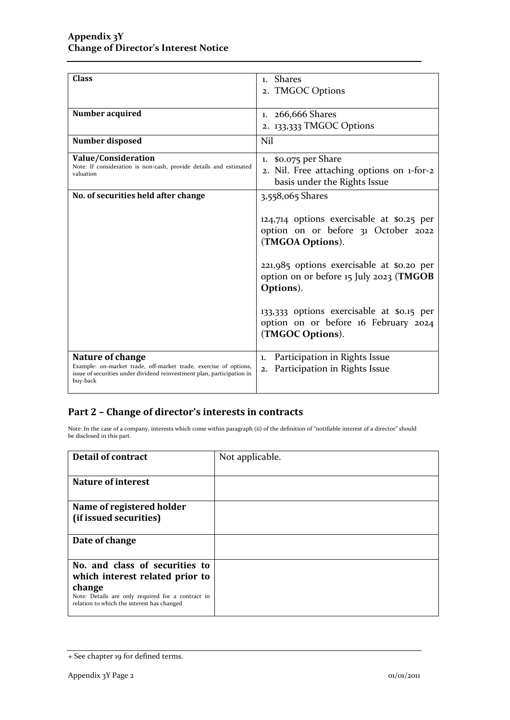| <b>Class</b>                                                                         | 1. Shares                                 |
|--------------------------------------------------------------------------------------|-------------------------------------------|
|                                                                                      |                                           |
|                                                                                      | 2. TMGOC Options                          |
|                                                                                      |                                           |
| Number acquired                                                                      | 1. 266,666 Shares                         |
|                                                                                      | 2. 133,333 TMGOC Options                  |
| Number disposed                                                                      | Nil                                       |
|                                                                                      |                                           |
| Value/Consideration                                                                  | 1. \$0.075 per Share                      |
| Note: If consideration is non-cash, provide details and estimated                    | 2. Nil. Free attaching options on 1-for-2 |
| valuation                                                                            | basis under the Rights Issue              |
|                                                                                      |                                           |
| No. of securities held after change                                                  | 3,558,065 Shares                          |
|                                                                                      |                                           |
|                                                                                      | 124,714 options exercisable at \$0.25 per |
|                                                                                      | option on or before 31 October 2022       |
|                                                                                      | (TMGOA Options).                          |
|                                                                                      |                                           |
|                                                                                      |                                           |
|                                                                                      | 221,985 options exercisable at \$0.20 per |
|                                                                                      | option on or before 15 July 2023 (TMGOB   |
|                                                                                      | Options).                                 |
|                                                                                      |                                           |
|                                                                                      | 133,333 options exercisable at \$0.15 per |
|                                                                                      | option on or before 16 February 2024      |
|                                                                                      | (TMGOC Options).                          |
|                                                                                      |                                           |
|                                                                                      |                                           |
| Nature of change<br>Example: on-market trade, off-market trade, exercise of options, | Participation in Rights Issue<br>1.       |
| issue of securities under dividend reinvestment plan, participation in               | Participation in Rights Issue<br>2.       |
| buy-back                                                                             |                                           |

### **Part 2 – Change of director's interests in contracts**

Note: In the case of a company, interests which come within paragraph (ii) of the definition of "notifiable interest of a director" should be disclosed in this part.

| <b>Detail of contract</b>                                                                       | Not applicable. |
|-------------------------------------------------------------------------------------------------|-----------------|
|                                                                                                 |                 |
| Nature of interest                                                                              |                 |
|                                                                                                 |                 |
| Name of registered holder                                                                       |                 |
| (if issued securities)                                                                          |                 |
|                                                                                                 |                 |
| Date of change                                                                                  |                 |
|                                                                                                 |                 |
| No. and class of securities to                                                                  |                 |
| which interest related prior to                                                                 |                 |
| change                                                                                          |                 |
| Note: Details are only required for a contract in<br>relation to which the interest has changed |                 |
|                                                                                                 |                 |

<sup>+</sup> See chapter 19 for defined terms.